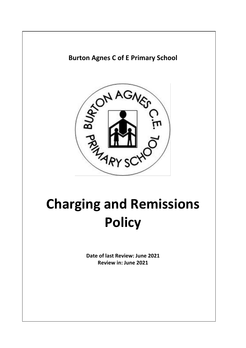

**Burton Agnes C of E Primary School**

# **Charging and Remissions Policy**

**Date of last Review: June 2021 Review in: June 2021**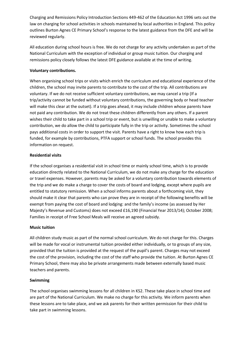Charging and Remissions Policy Introduction Sections 449-462 of the Education Act 1996 sets out the law on charging for school activities in schools maintained by local authorities in England. This policy outlines Burton Agnes CE Primary School's response to the latest guidance from the DFE and will be reviewed regularly.

All education during school hours is free. We do not charge for any activity undertaken as part of the National Curriculum with the exception of individual or group music tuition. Our charging and remissions policy closely follows the latest DFE guidance available at the time of writing.

## **Voluntary contributions.**

When organising school trips or visits which enrich the curriculum and educational experience of the children, the school may invite parents to contribute to the cost of the trip. All contributions are voluntary. If we do not receive sufficient voluntary contributions, we may cancel a trip (If a trip/activity cannot be funded without voluntary contributions, the governing body or head teacher will make this clear at the outset). If a trip goes ahead, it may include children whose parents have not paid any contribution. We do not treat these children differently from any others. If a parent wishes their child to take part in a school trip or event, but is unwilling or unable to make a voluntary contribution, we do allow the child to participate fully in the trip or activity. Sometimes the school pays additional costs in order to support the visit. Parents have a right to know how each trip is funded, for example by contributions, PTFA support or school funds. The school provides this information on request.

## **Residential visits**

If the school organises a residential visit in school time or mainly school time, which is to provide education directly related to the National Curriculum, we do not make any charge for the education or travel expenses. However, parents may be asked for a voluntary contribution towards elements of the trip and we do make a charge to cover the costs of board and lodging, except where pupils are entitled to statutory remission. When a school informs parents about a forthcoming visit, they should make it clear that parents who can prove they are in receipt of the following benefits will be exempt from paying the cost of board and lodging: and the family's income (as assessed by Her Majesty's Revenue and Customs) does not exceed £16,190 (Financial Year 2013/14); October 2008; Families in receipt of Free School Meals will receive an agreed subsidy.

#### **Music tuition**

All children study music as part of the normal school curriculum. We do not charge for this. Charges will be made for vocal or instrumental tuition provided either individually, or to groups of any size, provided that the tuition is provided at the request of the pupil's parent. Charges may not exceed the cost of the provision, including the cost of the staff who provide the tuition. At Burton Agnes CE Primary School, there may also be private arrangements made between externally based music teachers and parents.

#### **Swimming**

The school organises swimming lessons for all children in KS2. These take place in school time and are part of the National Curriculum. We make no charge for this activity. We inform parents when these lessons are to take place, and we ask parents for their written permission for their child to take part in swimming lessons.